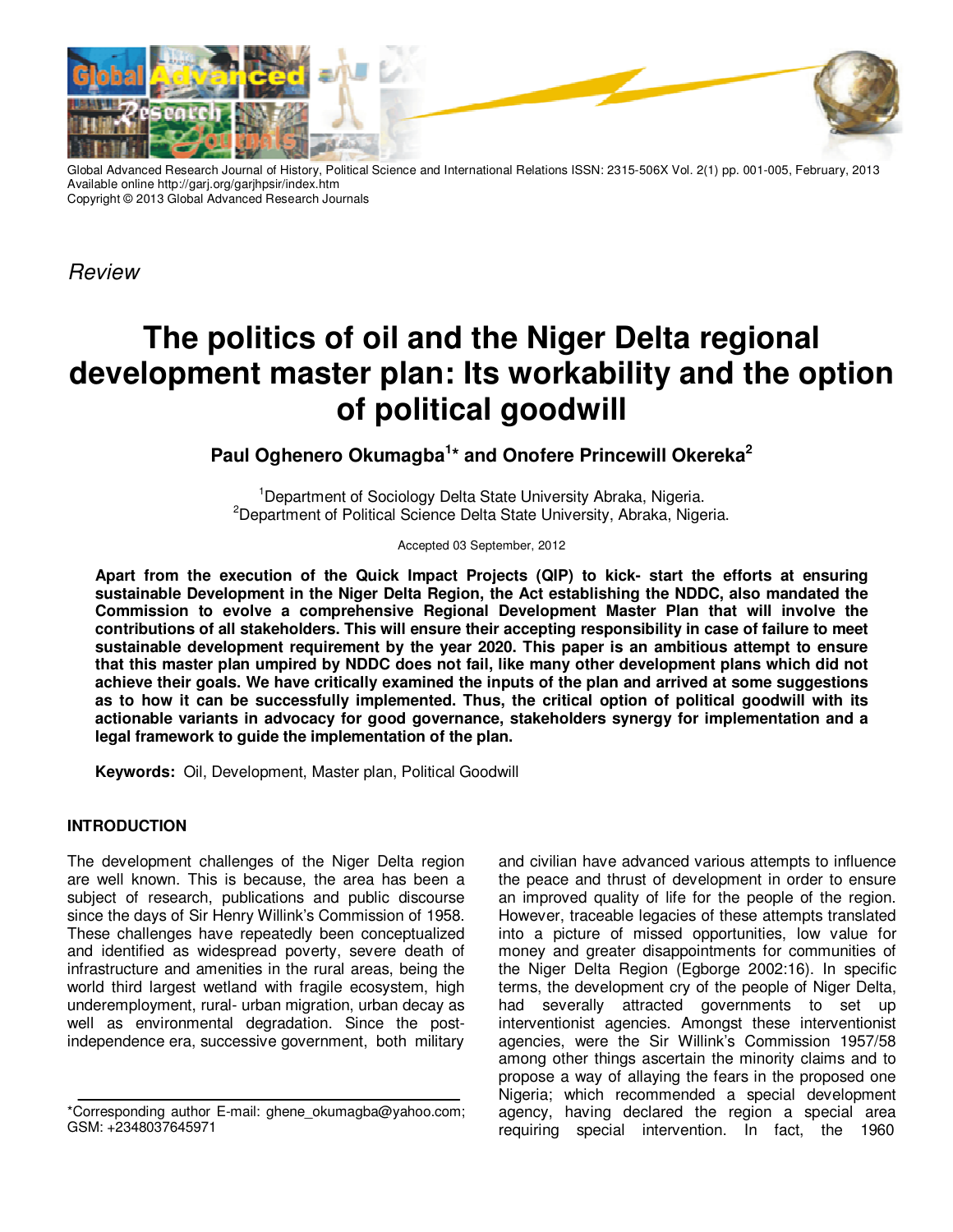

Global Advanced Research Journal of History, Political Science and International Relations ISSN: 2315-506X Vol. 2(1) pp. 001-005, February, 2013 Available online http://garj.org/garjhpsir/index.htm Copyright © 2013 Global Advanced Research Journals

Review

# **The politics of oil and the Niger Delta regional development master plan: Its workability and the option of political goodwill**

Paul Oghenero Okumagba<sup>1\*</sup> and Onofere Princewill Okereka<sup>2</sup>

<sup>1</sup>Department of Sociology Delta State University Abraka, Nigeria. <sup>2</sup>Department of Political Science Delta State University, Abraka, Nigeria.

Accepted 03 September, 2012

**Apart from the execution of the Quick Impact Projects (QIP) to kick- start the efforts at ensuring sustainable Development in the Niger Delta Region, the Act establishing the NDDC, also mandated the Commission to evolve a comprehensive Regional Development Master Plan that will involve the contributions of all stakeholders. This will ensure their accepting responsibility in case of failure to meet sustainable development requirement by the year 2020. This paper is an ambitious attempt to ensure that this master plan umpired by NDDC does not fail, like many other development plans which did not achieve their goals. We have critically examined the inputs of the plan and arrived at some suggestions as to how it can be successfully implemented. Thus, the critical option of political goodwill with its actionable variants in advocacy for good governance, stakeholders synergy for implementation and a legal framework to guide the implementation of the plan.** 

**Keywords:** Oil, Development, Master plan, Political Goodwill

# **INTRODUCTION**

The development challenges of the Niger Delta region are well known. This is because, the area has been a subject of research, publications and public discourse since the days of Sir Henry Willink's Commission of 1958. These challenges have repeatedly been conceptualized and identified as widespread poverty, severe death of infrastructure and amenities in the rural areas, being the world third largest wetland with fragile ecosystem, high underemployment, rural- urban migration, urban decay as well as environmental degradation. Since the postindependence era, successive government, both military

and civilian have advanced various attempts to influence the peace and thrust of development in order to ensure an improved quality of life for the people of the region. However, traceable legacies of these attempts translated into a picture of missed opportunities, low value for money and greater disappointments for communities of the Niger Delta Region (Egborge 2002:16). In specific terms, the development cry of the people of Niger Delta, had severally attracted governments to set up interventionist agencies. Amongst these interventionist agencies, were the Sir Willink's Commission 1957/58 among other things ascertain the minority claims and to propose a way of allaying the fears in the proposed one Nigeria; which recommended a special development agency, having declared the region a special area requiring special intervention. In fact, the 1960

<sup>\*</sup>Corresponding author E-mail: ghene\_okumagba@yahoo.com; GSM: +2348037645971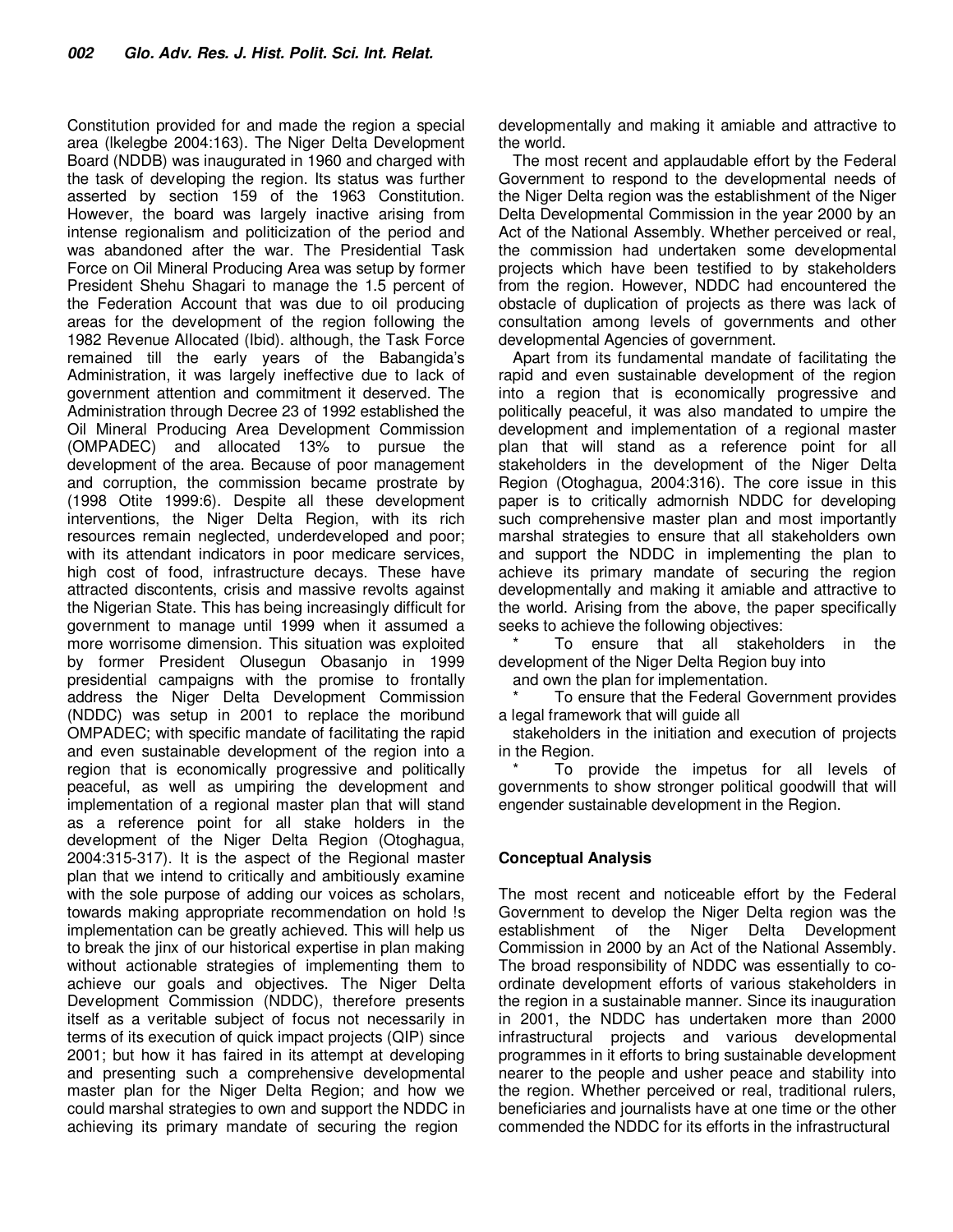Constitution provided for and made the region a special area (lkelegbe 2004:163). The Niger Delta Development Board (NDDB) was inaugurated in 1960 and charged with the task of developing the region. Its status was further asserted by section 159 of the 1963 Constitution. However, the board was largely inactive arising from intense regionalism and politicization of the period and was abandoned after the war. The Presidential Task Force on Oil Mineral Producing Area was setup by former President Shehu Shagari to manage the 1.5 percent of the Federation Account that was due to oil producing areas for the development of the region following the 1982 Revenue Allocated (Ibid). although, the Task Force remained till the early years of the Babangida's Administration, it was largely ineffective due to lack of government attention and commitment it deserved. The Administration through Decree 23 of 1992 established the Oil Mineral Producing Area Development Commission (OMPADEC) and allocated 13% to pursue the development of the area. Because of poor management and corruption, the commission became prostrate by (1998 Otite 1999:6). Despite all these development interventions, the Niger Delta Region, with its rich resources remain neglected, underdeveloped and poor; with its attendant indicators in poor medicare services, high cost of food, infrastructure decays. These have attracted discontents, crisis and massive revolts against the Nigerian State. This has being increasingly difficult for government to manage until 1999 when it assumed a more worrisome dimension. This situation was exploited by former President Olusegun Obasanjo in 1999 presidential campaigns with the promise to frontally address the Niger Delta Development Commission (NDDC) was setup in 2001 to replace the moribund OMPADEC; with specific mandate of facilitating the rapid and even sustainable development of the region into a region that is economically progressive and politically peaceful, as well as umpiring the development and implementation of a regional master plan that will stand as a reference point for all stake holders in the development of the Niger Delta Region (Otoghagua, 2004:315-317). It is the aspect of the Regional master plan that we intend to critically and ambitiously examine with the sole purpose of adding our voices as scholars, towards making appropriate recommendation on hold !s implementation can be greatly achieved. This will help us to break the jinx of our historical expertise in plan making without actionable strategies of implementing them to achieve our goals and objectives. The Niger Delta Development Commission (NDDC), therefore presents itself as a veritable subject of focus not necessarily in terms of its execution of quick impact projects (QIP) since 2001; but how it has faired in its attempt at developing and presenting such a comprehensive developmental master plan for the Niger Delta Region; and how we could marshal strategies to own and support the NDDC in achieving its primary mandate of securing the region

developmentally and making it amiable and attractive to the world.

The most recent and applaudable effort by the Federal Government to respond to the developmental needs of the Niger Delta region was the establishment of the Niger Delta Developmental Commission in the year 2000 by an Act of the National Assembly. Whether perceived or real, the commission had undertaken some developmental projects which have been testified to by stakeholders from the region. However, NDDC had encountered the obstacle of duplication of projects as there was lack of consultation among levels of governments and other developmental Agencies of government.

Apart from its fundamental mandate of facilitating the rapid and even sustainable development of the region into a region that is economically progressive and politically peaceful, it was also mandated to umpire the development and implementation of a regional master plan that will stand as a reference point for all stakeholders in the development of the Niger Delta Region (Otoghagua, 2004:316). The core issue in this paper is to critically admornish NDDC for developing such comprehensive master plan and most importantly marshal strategies to ensure that all stakeholders own and support the NDDC in implementing the plan to achieve its primary mandate of securing the region developmentally and making it amiable and attractive to the world. Arising from the above, the paper specifically seeks to achieve the following objectives:

To ensure that all stakeholders in the development of the Niger Delta Region buy into and own the plan for implementation.

To ensure that the Federal Government provides a legal framework that will guide all

stakeholders in the initiation and execution of projects in the Region.

To provide the impetus for all levels of governments to show stronger political goodwill that will engender sustainable development in the Region.

#### **Conceptual Analysis**

The most recent and noticeable effort by the Federal Government to develop the Niger Delta region was the establishment of the Niger Delta Development Commission in 2000 by an Act of the National Assembly. The broad responsibility of NDDC was essentially to coordinate development efforts of various stakeholders in the region in a sustainable manner. Since its inauguration in 2001, the NDDC has undertaken more than 2000 infrastructural projects and various developmental programmes in it efforts to bring sustainable development nearer to the people and usher peace and stability into the region. Whether perceived or real, traditional rulers, beneficiaries and journalists have at one time or the other commended the NDDC for its efforts in the infrastructural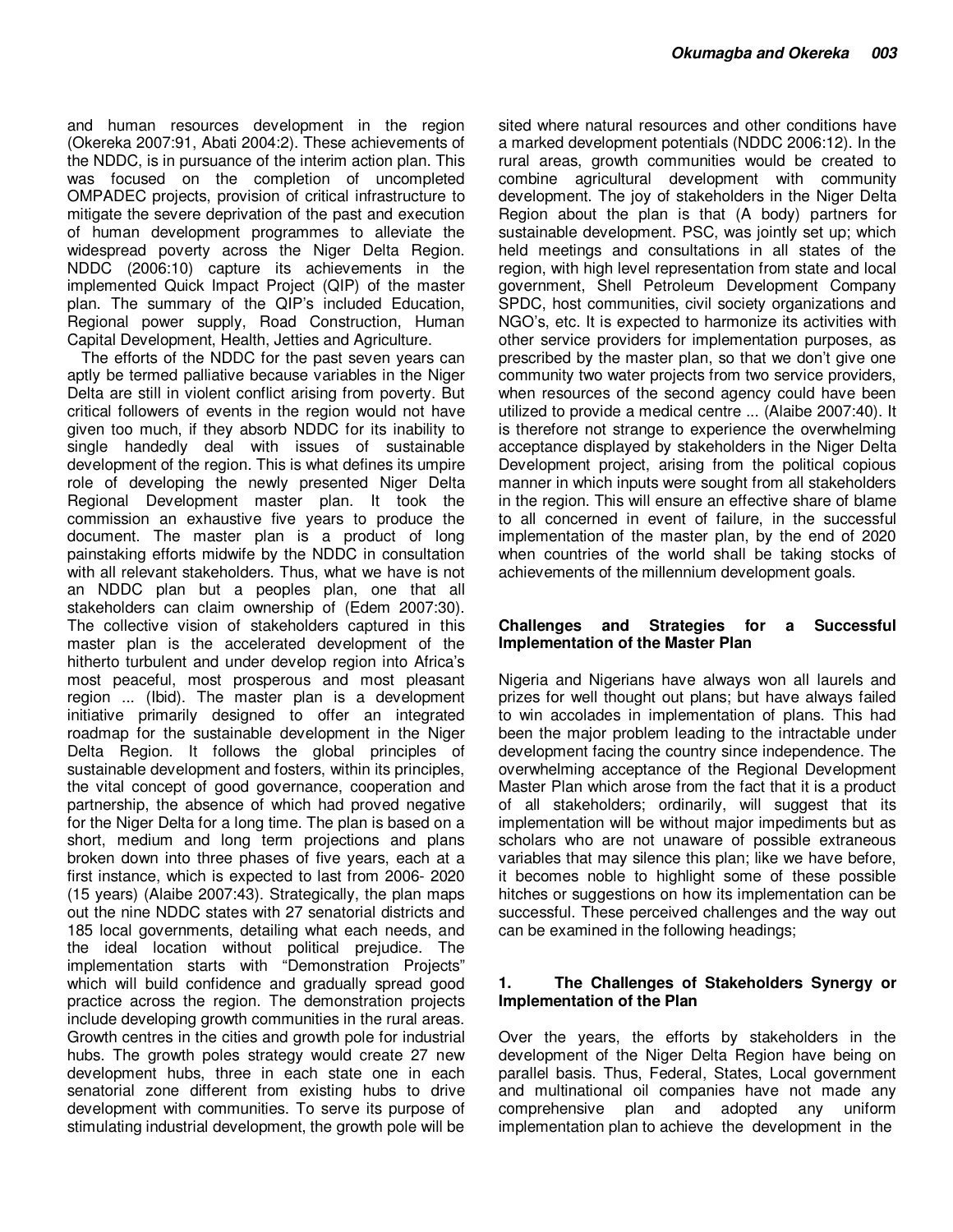and human resources development in the region (Okereka 2007:91, Abati 2004:2). These achievements of the NDDC, is in pursuance of the interim action plan. This was focused on the completion of uncompleted OMPADEC projects, provision of critical infrastructure to mitigate the severe deprivation of the past and execution of human development programmes to alleviate the widespread poverty across the Niger Delta Region. NDDC (2006:10) capture its achievements in the implemented Quick Impact Project (QIP) of the master plan. The summary of the QIP's included Education, Regional power supply, Road Construction, Human Capital Development, Health, Jetties and Agriculture.

The efforts of the NDDC for the past seven years can aptly be termed palliative because variables in the Niger Delta are still in violent conflict arising from poverty. But critical followers of events in the region would not have given too much, if they absorb NDDC for its inability to single handedly deal with issues of sustainable development of the region. This is what defines its umpire role of developing the newly presented Niger Delta Regional Development master plan. It took the commission an exhaustive five years to produce the document. The master plan is a product of long painstaking efforts midwife by the NDDC in consultation with all relevant stakeholders. Thus, what we have is not an NDDC plan but a peoples plan, one that all stakeholders can claim ownership of (Edem 2007:30). The collective vision of stakeholders captured in this master plan is the accelerated development of the hitherto turbulent and under develop region into Africa's most peaceful, most prosperous and most pleasant region ... (Ibid). The master plan is a development initiative primarily designed to offer an integrated roadmap for the sustainable development in the Niger Delta Region. It follows the global principles of sustainable development and fosters, within its principles, the vital concept of good governance, cooperation and partnership, the absence of which had proved negative for the Niger Delta for a long time. The plan is based on a short, medium and long term projections and plans broken down into three phases of five years, each at a first instance, which is expected to last from 2006- 2020 (15 years) (Alaibe 2007:43). Strategically, the plan maps out the nine NDDC states with 27 senatorial districts and 185 local governments, detailing what each needs, and the ideal location without political prejudice. The implementation starts with "Demonstration Projects" which will build confidence and gradually spread good practice across the region. The demonstration projects include developing growth communities in the rural areas. Growth centres in the cities and growth pole for industrial hubs. The growth poles strategy would create 27 new development hubs, three in each state one in each senatorial zone different from existing hubs to drive development with communities. To serve its purpose of stimulating industrial development, the growth pole will be

sited where natural resources and other conditions have a marked development potentials (NDDC 2006:12). In the rural areas, growth communities would be created to combine agricultural development with community development. The joy of stakeholders in the Niger Delta Region about the plan is that (A body) partners for sustainable development. PSC, was jointly set up; which held meetings and consultations in all states of the region, with high level representation from state and local government, Shell Petroleum Development Company SPDC, host communities, civil society organizations and NGO's, etc. It is expected to harmonize its activities with other service providers for implementation purposes, as prescribed by the master plan, so that we don't give one community two water projects from two service providers, when resources of the second agency could have been utilized to provide a medical centre ... (Alaibe 2007:40). It is therefore not strange to experience the overwhelming acceptance displayed by stakeholders in the Niger Delta Development project, arising from the political copious manner in which inputs were sought from all stakeholders in the region. This will ensure an effective share of blame to all concerned in event of failure, in the successful implementation of the master plan, by the end of 2020 when countries of the world shall be taking stocks of achievements of the millennium development goals.

#### **Challenges and Strategies for a Successful Implementation of the Master Plan**

Nigeria and Nigerians have always won all laurels and prizes for well thought out plans; but have always failed to win accolades in implementation of plans. This had been the major problem leading to the intractable under development facing the country since independence. The overwhelming acceptance of the Regional Development Master Plan which arose from the fact that it is a product of all stakeholders; ordinarily, will suggest that its implementation will be without major impediments but as scholars who are not unaware of possible extraneous variables that may silence this plan; like we have before, it becomes noble to highlight some of these possible hitches or suggestions on how its implementation can be successful. These perceived challenges and the way out can be examined in the following headings;

# **1. The Challenges of Stakeholders Synergy or Implementation of the Plan**

Over the years, the efforts by stakeholders in the development of the Niger Delta Region have being on parallel basis. Thus, Federal, States, Local government and multinational oil companies have not made any comprehensive plan and adopted any uniform implementation plan to achieve the development in the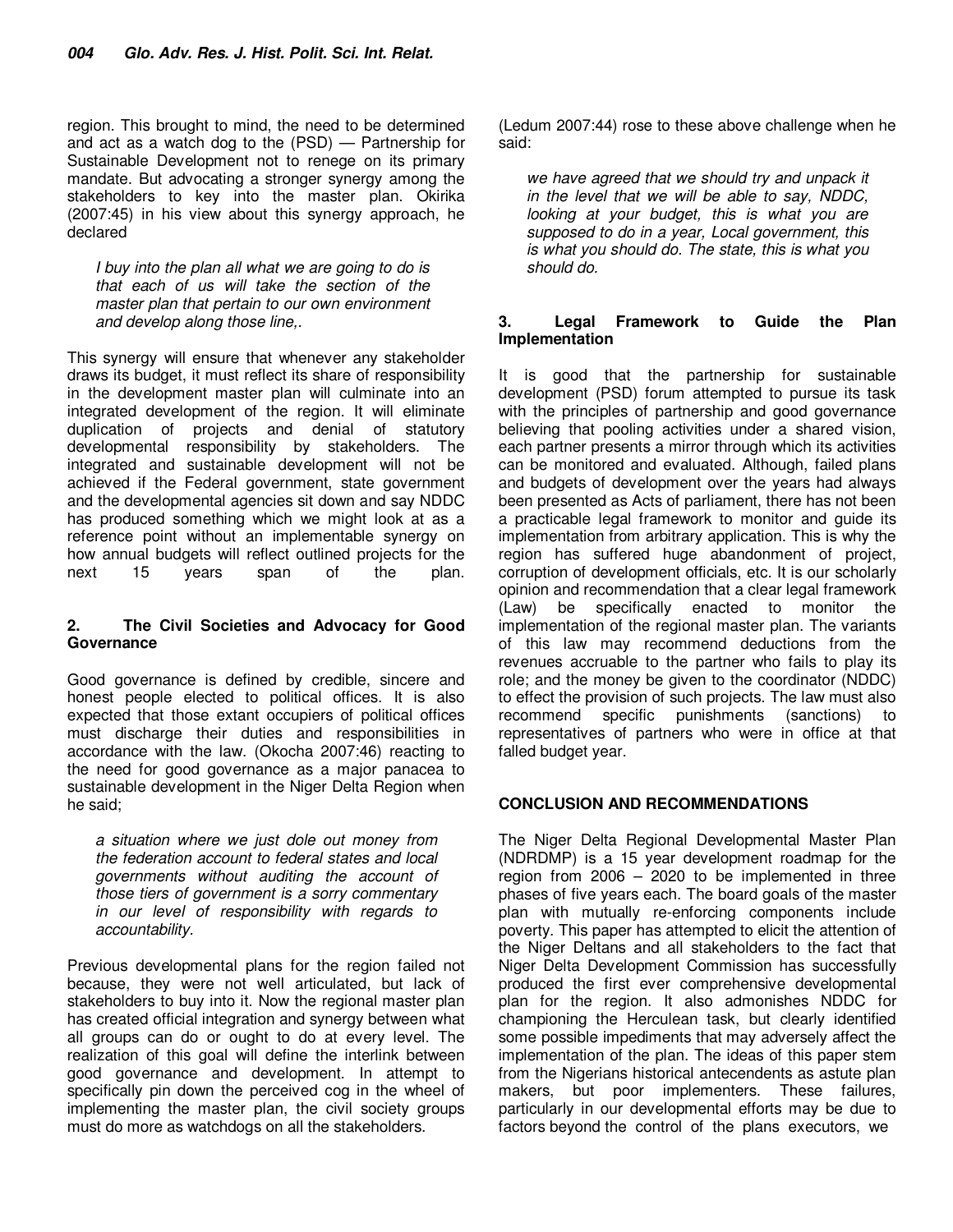region. This brought to mind, the need to be determined and act as a watch dog to the (PSD) — Partnership for Sustainable Development not to renege on its primary mandate. But advocating a stronger synergy among the stakeholders to key into the master plan. Okirika (2007:45) in his view about this synergy approach, he declared

I buy into the plan all what we are going to do is that each of us will take the section of the master plan that pertain to our own environment and develop along those line,.

This synergy will ensure that whenever any stakeholder draws its budget, it must reflect its share of responsibility in the development master plan will culminate into an integrated development of the region. It will eliminate duplication of projects and denial of statutory developmental responsibility by stakeholders. The integrated and sustainable development will not be achieved if the Federal government, state government and the developmental agencies sit down and say NDDC has produced something which we might look at as a reference point without an implementable synergy on how annual budgets will reflect outlined projects for the next at 15 years span of the plan. next 15 years span of the plan.

### **2. The Civil Societies and Advocacy for Good Governance**

Good governance is defined by credible, sincere and honest people elected to political offices. It is also expected that those extant occupiers of political offices must discharge their duties and responsibilities in accordance with the law. (Okocha 2007:46) reacting to the need for good governance as a major panacea to sustainable development in the Niger Delta Region when he said;

a situation where we just dole out money from the federation account to federal states and local governments without auditing the account of those tiers of government is a sorry commentary in our level of responsibility with regards to accountability.

Previous developmental plans for the region failed not because, they were not well articulated, but lack of stakeholders to buy into it. Now the regional master plan has created official integration and synergy between what all groups can do or ought to do at every level. The realization of this goal will define the interlink between good governance and development. In attempt to specifically pin down the perceived cog in the wheel of implementing the master plan, the civil society groups must do more as watchdogs on all the stakeholders.

(Ledum 2007:44) rose to these above challenge when he said:

we have agreed that we should try and unpack it in the level that we will be able to say, NDDC, looking at your budget, this is what you are supposed to do in a year, Local government, this is what you should do. The state, this is what you should do.

#### **3. Legal Framework to Guide the Plan Implementation**

It is good that the partnership for sustainable development (PSD) forum attempted to pursue its task with the principles of partnership and good governance believing that pooling activities under a shared vision, each partner presents a mirror through which its activities can be monitored and evaluated. Although, failed plans and budgets of development over the years had always been presented as Acts of parliament, there has not been a practicable legal framework to monitor and guide its implementation from arbitrary application. This is why the region has suffered huge abandonment of project, corruption of development officials, etc. It is our scholarly opinion and recommendation that a clear legal framework (Law) be specifically enacted to monitor the implementation of the regional master plan. The variants of this law may recommend deductions from the revenues accruable to the partner who fails to play its role; and the money be given to the coordinator (NDDC) to effect the provision of such projects. The law must also recommend specific punishments (sanctions) to representatives of partners who were in office at that falled budget year.

# **CONCLUSION AND RECOMMENDATIONS**

The Niger Delta Regional Developmental Master Plan (NDRDMP) is a 15 year development roadmap for the region from 2006 – 2020 to be implemented in three phases of five years each. The board goals of the master plan with mutually re-enforcing components include poverty. This paper has attempted to elicit the attention of the Niger Deltans and all stakeholders to the fact that Niger Delta Development Commission has successfully produced the first ever comprehensive developmental plan for the region. It also admonishes NDDC for championing the Herculean task, but clearly identified some possible impediments that may adversely affect the implementation of the plan. The ideas of this paper stem from the Nigerians historical antecendents as astute plan makers, but poor implementers. These failures, particularly in our developmental efforts may be due to factors beyond the control of the plans executors, we